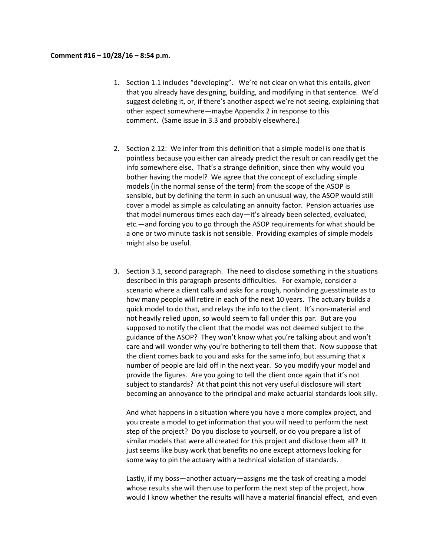## **Comment #16 – 10/28/16 – 8:54 p.m.**

- 1. Section 1.1 includes "developing". We're not clear on what this entails, given that you already have designing, building, and modifying in that sentence. We'd suggest deleting it, or, if there's another aspect we're not seeing, explaining that other aspect somewhere—maybe Appendix 2 in response to this comment. (Same issue in 3.3 and probably elsewhere.)
- 2. Section 2.12: We infer from this definition that a simple model is one that is pointless because you either can already predict the result or can readily get the info somewhere else. That's a strange definition, since then why would you bother having the model? We agree that the concept of excluding simple models (in the normal sense of the term) from the scope of the ASOP is sensible, but by defining the term in such an unusual way, the ASOP would still cover a model as simple as calculating an annuity factor. Pension actuaries use that model numerous times each day—it's already been selected, evaluated, etc.—and forcing you to go through the ASOP requirements for what should be a one or two minute task is not sensible. Providing examples of simple models might also be useful.
- 3. Section 3.1, second paragraph. The need to disclose something in the situations described in this paragraph presents difficulties. For example, consider a scenario where a client calls and asks for a rough, nonbinding guesstimate as to how many people will retire in each of the next 10 years. The actuary builds a quick model to do that, and relays the info to the client. It's non‐material and not heavily relied upon, so would seem to fall under this par. But are you supposed to notify the client that the model was not deemed subject to the guidance of the ASOP? They won't know what you're talking about and won't care and will wonder why you're bothering to tell them that. Now suppose that the client comes back to you and asks for the same info, but assuming that x number of people are laid off in the next year. So you modify your model and provide the figures. Are you going to tell the client once again that it's not subject to standards? At that point this not very useful disclosure will start becoming an annoyance to the principal and make actuarial standards look silly.

And what happens in a situation where you have a more complex project, and you create a model to get information that you will need to perform the next step of the project? Do you disclose to yourself, or do you prepare a list of similar models that were all created for this project and disclose them all? It just seems like busy work that benefits no one except attorneys looking for some way to pin the actuary with a technical violation of standards.

Lastly, if my boss—another actuary—assigns me the task of creating a model whose results she will then use to perform the next step of the project, how would I know whether the results will have a material financial effect, and even